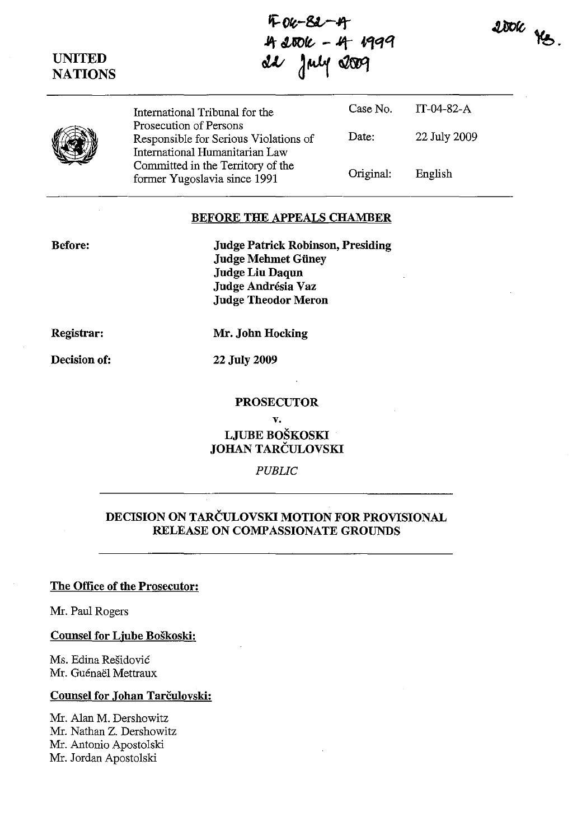$2000$   $\frac{16}{5}$ .

F-04-82-4 **.itt UOft.** - "t **Vfc:Jq**   $dx$  july 2009

|  | International Tribunal for the                                                                                                                                         | Case No.  | $IT-04-82-A$ |
|--|------------------------------------------------------------------------------------------------------------------------------------------------------------------------|-----------|--------------|
|  | Prosecution of Persons<br>Responsible for Serious Violations of<br>International Humanitarian Law<br>Committed in the Territory of the<br>former Yugoslavia since 1991 | Date:     | 22 July 2009 |
|  |                                                                                                                                                                        | Original: | English      |

#### BEFORE THE APPEALS CHAMBER

Judge Patrick Robinson, Presiding Judge Mehmet Güney Judge Liu Daqun Judge Andrésia Vaz Judge Theodor Meron

Registrar:

Mr. John Hocking

Decision of:

22 July 2009

#### PROSECUTOR

v. LJUBE BOSKOSKI JOHAN TARČULOVSKI

*PUBLIC* 

# DECISION ON TARCULOVSKI MOTION FOR PROVISIONAL RELEASE ON COMPASSIONATE GROUNDS

## The Office of the Prosecutor:

Mr. Paul Rogers

Counsel for Ljube Boskoski:

Ms. Edina Residovic Mr. Guénaël Mettraux

## Counsel for Johan Tarčulovski:

Mr. Alan M. Dershowitz Mr. Nathan Z. Dershowitz Mr. Antonio Aposto1ski Mr. Jordan Apostolski

Before:

UNITED **NATIONS**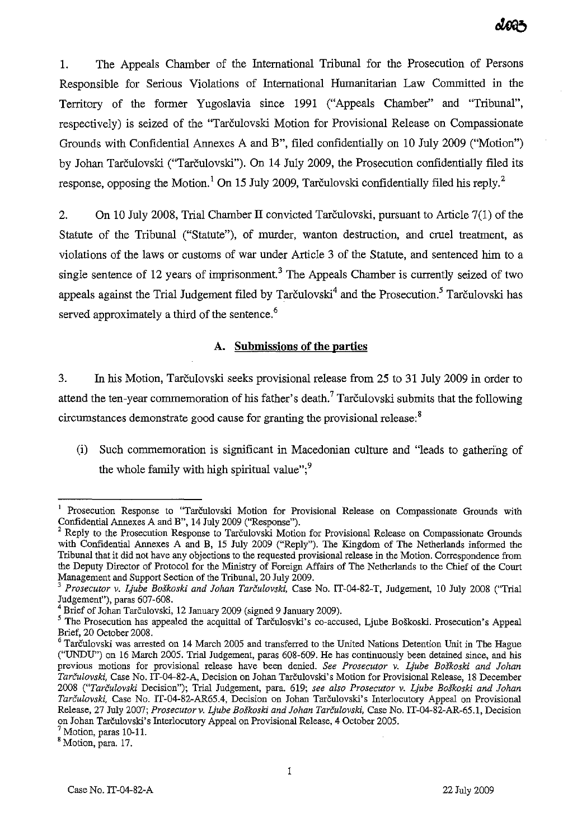1. The Appeals Chamber of the International Tribunal for the Prosecution of Persons Responsible for Serious Violations of International Humanitarian Law Committed in the Territory of the former Yugoslavia since 1991 ("Appeals Chamber" and "Tribunal", respectively) is seized of the "Tarčulovski Motion for Provisional Release on Compassionate Grounds with Confidential Annexes A and B", filed confidentially on 10 July 2009 ("Motion") by Johan Tarculovski ("Tarculovski"). On 14 July 2009, the Prosecution confidentially filed its response, opposing the Motion.<sup>1</sup> On 15 July 2009, Tarčulovski confidentially filed his reply.<sup>2</sup>

2. On 10 July 2008, Trial Chamber II convicted Tarculovski, pursuant to Article 7(1) of the Statute of the Tribunal ("Statute"), of murder, wanton destruction, and cruel treatment, as violations of the laws or customs of war under Article 3 of the Statute, and sentenced him to a single sentence of 12 years of imprisonment.<sup>3</sup> The Appeals Chamber is currently seized of two appeals against the Trial Judgement filed by Tarčulovski<sup>4</sup> and the Prosecution.<sup>5</sup> Tarčulovski has served approximately a third of the sentence.<sup>6</sup>

## A. **Submissions of the parties**

3. In his Motion, Tarculovski seeks provisional release from 25 to 31 July 2009 in order to attend the ten-year commemoration of his father's death.<sup>7</sup> Tarculovski submits that the following circumstances demonstrate good cause for granting the provisional release:<sup>8</sup>

(i) Such commemoration is significant in Macedonian culture and "leads to gathering of the whole family with high spiritual value", $\frac{9}{5}$ 

Prosecution Response to "Tarčulovski Motion for Provisional Release on Compassionate Grounds with Confidential Annexes A and B", 14 July 2009 ("Response").

Reply to the Prosecution Response to Tarčulovski Motion for Provisional Release on Compassionate Grounds with Confidential Annexes A and B, 15 July 2009 ("Reply"). The Kingdom of The Netherlands informed the Tribunal that it did not have any objections to the requested provisional release in the Motion. Correspondence from the Deputy Director of Protocol for the Ministry of Foreign Affairs of The Netherlands to the Chief of the Court Management and Support Section of the Tribunal, 20 July 2009.

*<sup>3</sup> Prosecutor v. Ljube Boskoski and !ohan Tari!ulovski,* Case No. IT-04-S2-T, Judgement, 10 July 200S ("Trial Judgement"), paras 607-60S.

<sup>4</sup> Brief of Johan Tarculovski, 12 January 2009 (signed 9 January 2009).

<sup>&</sup>lt;sup>5</sup> The Prosecution has appealed the acquittal of Tarculosvki's co-accused, Ljube Boškoski. Prosecution's Appeal Brief, 20 October 200S.

 $6$  Tarculovski was arrested on 14 March 2005 and transferred to the United Nations Detention Unit in The Hague ("UNDU") on 16 March 2005. Trial Judgement, paras 60S-609. He has continuously been detained since, and his **previous motions for provisional release have been denied.** *See Prosecutor* **v.** *Ljube* **Boskoski** *and lohan Tarculovski,* Case No. IT-04-S2-A, Decision on Johan Tarculovski's Motion for Provisional Release, IS December 200S *("Tari!ulovski* Decision"); Trial Judgement, para. 619; *see also Prosecutor v. Ljube Boskoski and !ohan Tarculovski.* Case No. IT-04-S2-AR65.4, Decision on Johan Tarculovski's Interlocutory Appeal on Provisional Release, 27 July 2007; *Prosecutor v. Ljube Boskoski and !ohan Tarculovski,* Case No. IT-04-S2-AR-65.1, Decision on Johan Tarculovski's Interlocutory Appeal on Provisional Release, 4 October 2005.

 $^7$  Motion, paras 10-11. <sup>8</sup> Motion, para. 17.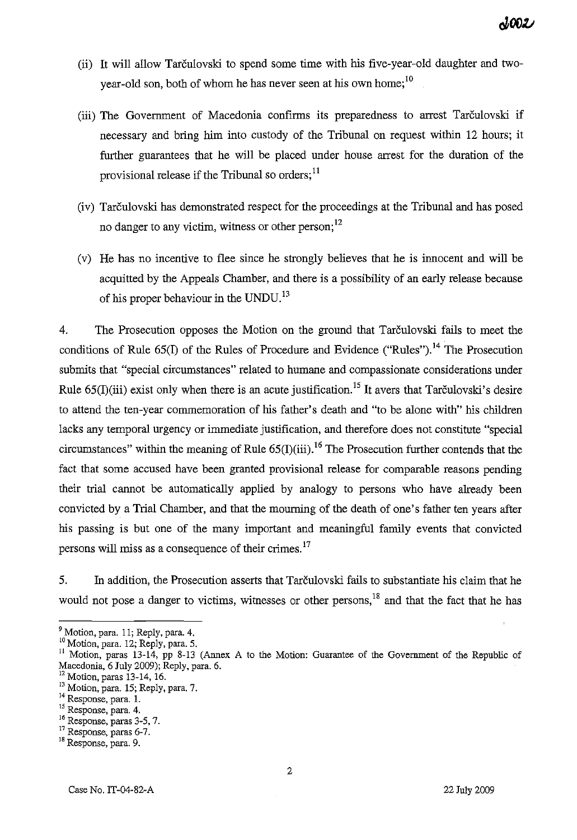- (ii) It will allow Tarculovski to spend some time with his five-year-old daughter and twoyear-old son, both of whom he has never seen at his own home; $^{10}$
- (iii) The Government of Macedonia confirms its preparedness to arrest Tarculovski if necessary and bring him into custody of the Tribunal on request within 12 hours; it further guarantees that he will be placed under house arrest for the duration of the provisional release if the Tribunal so orders;<sup>11</sup>
- (iv) Tarculovski has demonstrated respect for the proceedings at the Tribunal and has posed no danger to any victim, witness or other person;<sup>12</sup>
- (v) He has no incentive to flee since he strongly believes that he is innocent and will be acquitted by the Appeals Chamber, and there is a possibility of an early release because of his proper behaviour in the UNDU.<sup>13</sup>

4. The Prosecution opposes the Motion on the ground that Tarculovski fails to meet the conditions of Rule  $65(I)$  of the Rules of Procedure and Evidence ("Rules").<sup>14</sup> The Prosecution submits that "special circumstances" related to humane and compassionate considerations under Rule 65(I)(iii) exist only when there is an acute justification.<sup>15</sup> It avers that Tarculovski's desire to attend the ten-year commemoration of his father's death and "to be alone with" his children lacks any temporal urgency or immediate justification, and therefore does not constitute "special circumstances" within the meaning of Rule  $65(I)(iii)$ .<sup>16</sup> The Prosecution further contends that the fact that some accused have been granted provisional release for comparable reasons pending their trial cannot be automatically applied by analogy to persons who have already been convicted by a Trial Chamber, and that the mourning of the death of one's father ten years after his passing is but one of the many important and meaningful family events that convicted persons will miss as a consequence of their crimes.<sup>17</sup>

5. In addition, the Prosecution asserts that Tarculovski fails to substantiate his claim that he would not pose a danger to victims, witnesses or other persons, $18$  and that the fact that he has

<sup>&</sup>lt;sup>9</sup> Motion, para. 11; Reply, para. 4.

<sup>&</sup>lt;sup>10</sup> Motion, para. 12; Reply, para. 5.

<sup>&</sup>lt;sup>11</sup> Motion, paras 13-14, pp 8-13 (Annex A to the Motion: Guarantee of the Government of the Republic of Macedonia, 6 July 2009); Reply, para. 6.

 $12$  Motion, paras 13-14, 16.

<sup>&</sup>lt;sup>13</sup> Motion, para. 15; Reply, para. 7.

<sup>&</sup>lt;sup>14</sup> Response, para. 1.

<sup>15</sup> Response, para. 4.

<sup>16</sup> Response, paras 3-5,7.

<sup>&</sup>lt;sup>17</sup> Response, paras 6-7.

<sup>18</sup> Response, para. 9.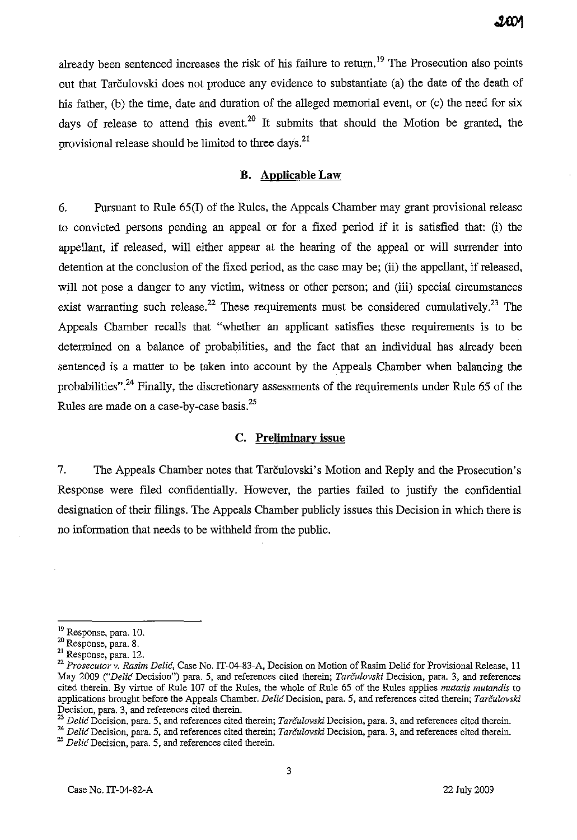already been sentenced increases the risk of his failure to return.<sup>19</sup> The Prosecution also points out that Tarculovski does not produce any evidence to substantiate (a) the date of the death of his father, (b) the time, date and duration of the alleged memorial event, or (c) the need for six days of release to attend this event.<sup>20</sup> It submits that should the Motion be granted, the provisional release should be limited to three days.<sup>21</sup>

## **B. Applicable Law**

6. Pursuant to Rule 65(1) of the Rules, the Appeals Chamber may grant provisional release to convicted persons pending an appeal or for a fixed period if it is satisfied that: (i) the appellant, if released, will either appear at the hearing of the appeal or will surrender into detention at the conclusion of the fixed period, as the case may be; (ii) the appellant, if released, will not pose a danger to any victim, witness or other person; and (iii) special circumstances exist warranting such release.<sup>22</sup> These requirements must be considered cumulatively.<sup>23</sup> The Appeals Chamber recalls that "whether an applicant satisfies these requirements is to be determined on a balance of probabilities, and the fact that an individual has already been sentenced is a matter to be taken into account by the Appeals Chamber when balancing the probabilities".<sup>24</sup> Finally, the discretionary assessments of the requirements under Rule 65 of the Rules are made on a case-by-case basis.<sup>25</sup>

#### **C. Preliminary issue**

7. The Appeals Chamber notes that Tarculovski's Motion and Reply and the Prosecution's Response were filed confidentially. However, the parties failed to justify the confidential designation of their filings. The Appeals Chamber publicly issues this Decision in which there is no information that needs to be withheld from the public.

<sup>19</sup> Response, para. 10.

<sup>20</sup> Response, para. 8.

**<sup>21</sup>Response, para. 12.** 

<sup>&</sup>lt;sup>22</sup> Prosecutor v. Rasim Delić, Case No. IT-04-83-A, Decision on Motion of Rasim Delić for Provisional Release, 11 May 2009 *("Delie* Decision") para. 5, and references cited therein; *Tarculovski* Decision, para. 3, and references cited therein. By virtue of Rule 107 of the Rules, the whole of Rule 65 of the Rules applies *mutatis mutandis* to applications brought before the Appeals Chamber. *Delic* Decision, para. 5, and references cited therein; *Tarčulovski* **Decision, para. 3, and references cited therein.** 

**<sup>23</sup>***Delic* **Decision, para. 5, and references cited therein;** *Tarculovsld* **Decision, para. 3, and references cited therein.** 

**<sup>24</sup>***Delic'Decision,* **para. 5, and references cited therein;** *Tarculovski* **Decision, para. 3, and references cited therein.** 

*<sup>25</sup> DelicDecision,* **para. 5, and references cited therein.**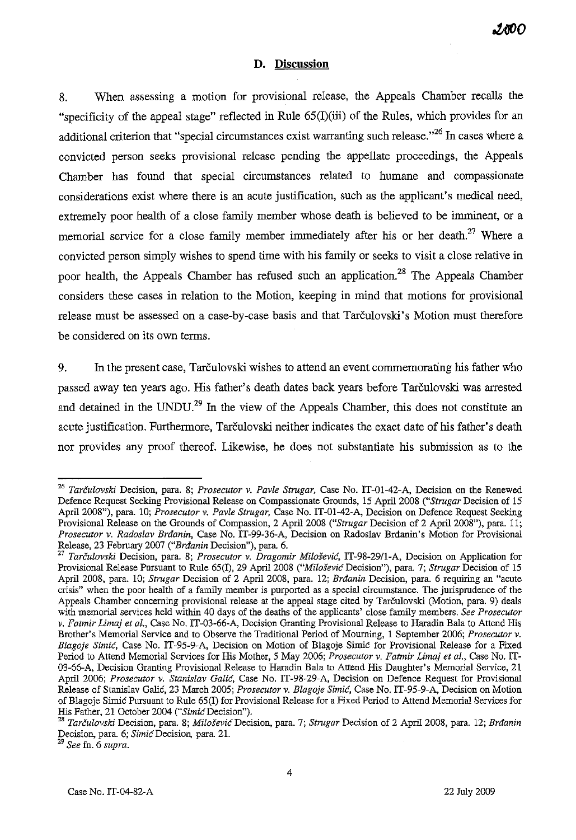#### **D. Discussion**

8. When assessing a motion for provisional release, the Appeals Chamber recalls the "specificity of the appeal stage" reflected in Rule 65(I)(iii) of the Rules, which provides for an additional criterion that "special circumstances exist warranting such release."<sup>26</sup> In cases where a convicted person seeks provisional release pending the appellate proceedings, the Appeals Chamber has found that special circumstances related to humane and compassionate considerations exist where there is an acute justification, such as the applicant's medical need, extremely poor health of a close family member whose death is believed to be imminent, or a memorial service for a close family member immediately after his or her death.<sup>27</sup> Where a convicted person simply wishes to spend time with his family or seeks to visit a close relative in poor health, the Appeals Chamber has refused such an application.<sup>28</sup> The Appeals Chamber considers these cases in relation to the Motion, keeping in mind that motions for provisional release must be assessed on a case-by-case basis and that Tarculovski' s Motion must therefore be considered on its own terms.

9. In the present case, Tarculovski wishes to attend an event commemorating his father who passed away ten years ago. His father's death dates back years before Tarculovski was arrested and detained in the UNDU.<sup>29</sup> In the view of the Appeals Chamber, this does not constitute an acute justification. Furthermore, Tarčulovski neither indicates the exact date of his father's death nor provides any proof thereof. Likewise, he does not substantiate his submission as to the

**<sup>29</sup>***See* **fn. 6** *supra.* 

*<sup>26</sup> Tarculovski* Decision, para. 8; *Prosecutor* v. *Pavle Strugar,* Case No. IT-0l-42-A, Decision on the Renewed Defence Reqnest Seeking Provisional Release on Compassionate Gronnds, 15 April 2008 *("Strugar* Decision of 15 April 2008"), para. 10; *Prosecutor* v. *Pavle Strugar,* Case No. IT-01-42-A, Decision on Defence Request Seeking Provisional Release on the Grounds of Compassion, 2 April 2008 *("Strugar* Decision of 2 April 2008"), para. 11; *Prosecutor* v. *Radoslav Brdanin,* Case No. IT-99-36-A, Decision on Radoslav Brdanin's Motion for Provisional Release, 23 February 2007 *("Brdanin* Decision"), para. 6.

*<sup>27</sup> Tarculovski* Decision, para. 8; *Prosecutor* v. *Dragomir Milosevic, IT-98-29fl-A,* Decision on Application for Provisional Release Pursuant to Rule 65(1), 29 April 2008 *("Milosevic* Decision"), para. 7; *Strugar* Decision of IS April 2008, para. 10; *Strugar* Decision of 2 April 2008, para. 12; *Brdanin* Decision, para. 6 requiring an "acute crisis" when the poor health of a family member is purported as a special circumstance. The jurisprudence of the Appeals Chamber concerning provisional release at the appeal stage cited by Tarculovski (Motion, para. 9) deals with memorial services held within 40 days of the deaths of the applicants' close family members. *See Prosecutor*  v. *Fatmir Limaj et al.,* Case No. IT-03-66-A, Decision Granting Provisional Release to Haradin Bala to Attend His Brother's Memorial Service and to Observe the Traditional Period of Mourning, I September 2006; *Prosecutor* v. Blagoje Simić, Case No. IT-95-9-A, Decision on Motion of Blagoje Simić for Provisional Release for a Fixed Period to Attend Memorial Services for His Mother, 5 May 2006; *Prosecutor v. Fatmir Limaj et al.*, Case No. IT-03-66-A, Decision Granting Provisional Release to Haradin Bala to Attend His Daughter's Memorial Service, 21 April 2006; *Prosecutor* v. *Stanislav Calic,* Case No. IT-98-29-A, Decision on Defence Request for Provisional Release of Stanislav Galic, 23 March 2005; *Prosecutor* v. *Blagoje Simic,* Case No. IT-95-9-A, Decision on Motion ofBlagoje Simic Pursuant to Rule 65(I) for Provisional Release for a Fixed Period to Attend Memorial Services for His Father, 21 October 2004 ("Simic Decision").

*<sup>28</sup> Tarculovski* Decision, para. 8; *Milosevic* Decision, para. 7; *Strugar* Decision of 2 April 2008, para. 12; *Brdanin*  Decision, para. 6; *Simic* Decision, para. 21.